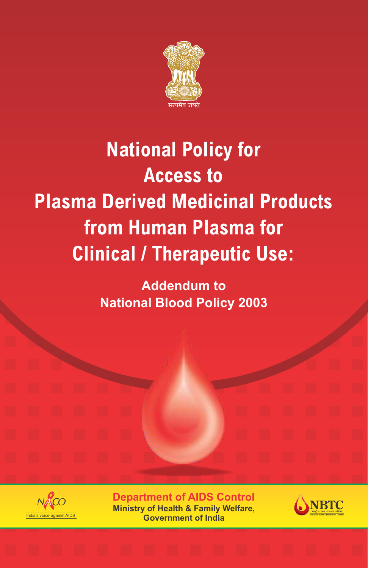

### **National Policy for Access to Plasma Derived Medicinal Products from Human Plasma for Clinical / Therapeutic Use:**

**Addendum to National Blood Policy 2003**



**Department of AIDS Control Ministry of Health & Family Welfare, Government of India**

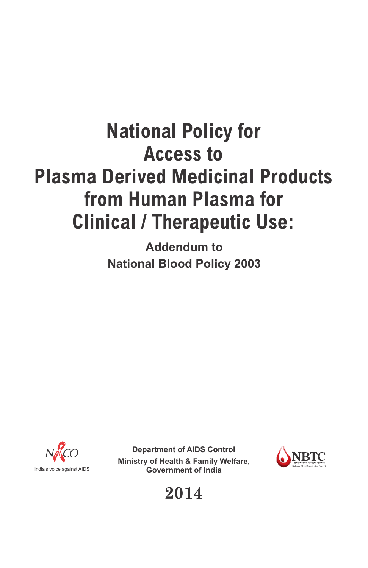### **National Policy for Access to Plasma Derived Medicinal Products from Human Plasma for Clinical / Therapeutic Use:**

**Addendum to National Blood Policy 2003**



**Department of AIDS Control Ministry of Health & Family Welfare,** India's voice against AIDS **Government of India**



**2014**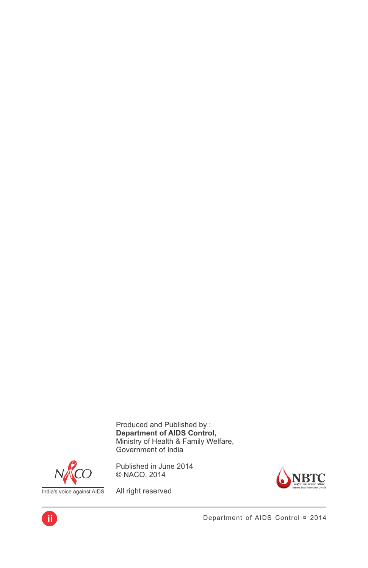Produced and Published by : **Department of AIDS Control,** Ministry of Health & Family Welfare, Government of India



**ii**

Published in June 2014 © NACO, 2014



All right reserved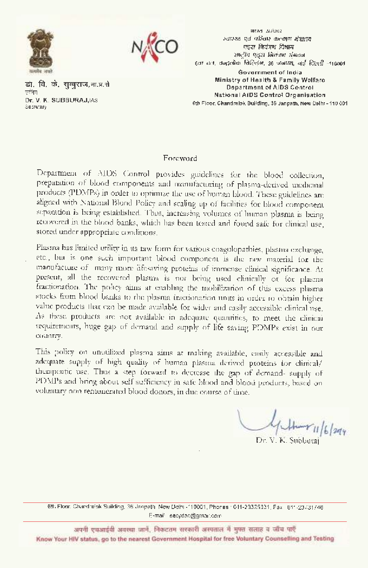



डो, वि. के. राुबराज,भा.प्र.से स्तित Dr. V. K. SUBBURAJ, JAS Sepretary

**SILGS & SSNG** स्वास्थ्य एवं परिवार कल्याण मंत्राख एडस मियंत्रण विभाज शब्दीय एउटा जिलंबण संगठन हता तता, राजदत्तीक विस्लिभ, 36 जनपथ, नई हिंस्सी -110001 Government of India Ministry of Health & Family Welfare **Department of AIDS Control** National AIDS Control Organisation 6th Floor, Chandralok Building, 36 Janpath, New Delhr - 110 001

#### **Foreword**

Department of AIDS Control provides guidelines for the blood collection, preparation of blood components and manufacturing of plasma-derived uncluenal products (PDMPs) in order to optimize the use of human blood. These guidelines are aligned with National Blond Policy and scaling up of facilities for blood component separation is being established. Thus, increasing volumes of human plasma is being recovered in the blood banks, which has been tested and found safe for clinical use, stored under appropriate conditions.

Plasma has limited utility in its raw form for various coagulopathies, plasma exchange, etc., but is one such important blood component is the raw material for the manufacture of many more difesaving proteins of immense clinical significance. At present, all the recovered plasma is not being used clinically or for plasma fractionation. The policy aims at enabling the mobilization of this excess plasma stocks from blood banks to the plasma inectionation units in order to obtain higher value products that can be made available for wider and easily accessible clinical use. As these products are not available in adequate quantities, to meet the clinical tequirements, huge gap of demand and supply of life saving PDMPs exist in our country.

This policy on unudlized plasma aims at making available, easily accessible and adequate supply of high quality of human plasma derived proteins for clinical/ therapeutic use. Thus a step forward to decrease the gap of demand- supply of PDMPs and bring about self sufficiency in safe blood and blood products, based on voluntary non-remunerated blood donors, in due course of time.

 $144716204$ 

Dr. V. K. Subbutai

6th Floor, Chandrelok Building, 36 Janpath, New Delhi -110001, Phones 1011-23325331, Fax: 011-23731746 F-mail: secydac@gmail.com

अपनी एचआईवी अवस्था जानें, निकटतम सरकारी अस्पताल में मुफ्त सलाह व जाँच पाएँ Know Your HIV status, go to the nearest Government Hospital for free Voluntary Counselling and Testing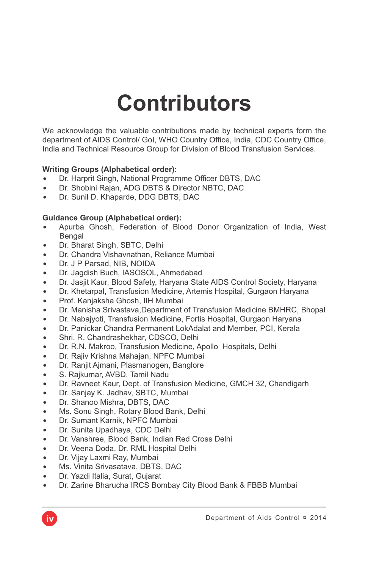### **Contributors**

We acknowledge the valuable contributions made by technical experts form the department of AIDS Control/ GoI, WHO Country Office, India, CDC Country Office, India and Technical Resource Group for Division of Blood Transfusion Services.

#### **Writing Groups (Alphabetical order):**

- Dr. Harprit Singh, National Programme Officer DBTS, DAC
- Dr. Shobini Rajan, ADG DBTS & Director NBTC, DAC
- Dr. Sunil D. Khaparde, DDG DBTS, DAC

#### **Guidance Group (Alphabetical order):**

- Apurba Ghosh, Federation of Blood Donor Organization of India, West Bengal
- Dr. Bharat Singh, SBTC, Delhi
- Dr. Chandra Vishavnathan, Reliance Mumbai
- Dr. J P Parsad, NIB, NOIDA
- Dr. Jagdish Buch, IASOSOL, Ahmedabad
- Dr. Jasjit Kaur, Blood Safety, Haryana State AIDS Control Society, Haryana
- Dr. Khetarpal, Transfusion Medicine, Artemis Hospital, Gurgaon Haryana
- Prof. Kanjaksha Ghosh, IIH Mumbai
- Dr. Manisha Srivastava,Department of Transfusion Medicine BMHRC, Bhopal
- Dr. Nabajyoti, Transfusion Medicine, Fortis Hospital, Gurgaon Haryana
- Dr. Panickar Chandra Permanent LokAdalat and Member, PCI, Kerala
- $\bullet$  Shri. R. Chandrashekhar, CDSCO, Delhi
- Dr. R.N. Makroo, Transfusion Medicine, Apollo Hospitals, Delhi
- Dr. Rajiv Krishna Mahajan, NPFC Mumbai
- Dr. Ranjit Ajmani, Plasmanogen, Banglore
- S. Raikumar, AVBD, Tamil Nadu
- Dr. Ravneet Kaur, Dept. of Transfusion Medicine, GMCH 32, Chandigarh
- Dr. Sanjay K. Jadhav, SBTC, Mumbai
- Dr. Shanoo Mishra, DBTS, DAC
- . Ms. Sonu Singh, Rotary Blood Bank, Delhi
- Dr. Sumant Karnik, NPFC Mumbai
- Dr. Sunita Upadhaya, CDC Delhi
- Dr. Vanshree, Blood Bank, Indian Red Cross Delhi
- Dr. Veena Doda, Dr. RML Hospital Delhi
- Dr. Vijay Laxmi Ray, Mumbai
- . Ms. Vinita Srivasatava, DBTS, DAC
- Dr. Yazdi Italia, Surat, Gujarat
- Dr. Zarine Bharucha IRCS Bombay City Blood Bank & FBBB Mumbai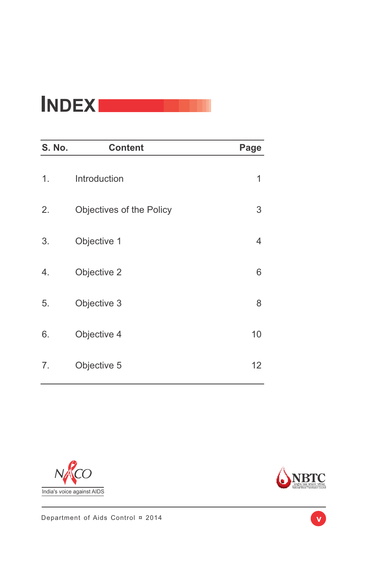### **INDEX**

| S. No. | <b>Content</b>           | Page |
|--------|--------------------------|------|
| 1.     | Introduction             | 1    |
| 2.     | Objectives of the Policy | 3    |
| 3.     | Objective 1              | 4    |
| 4.     | Objective 2              | 6    |
| 5.     | Objective 3              | 8    |
| 6.     | Objective 4              | 10   |
| 7.     | Objective 5              | 12   |





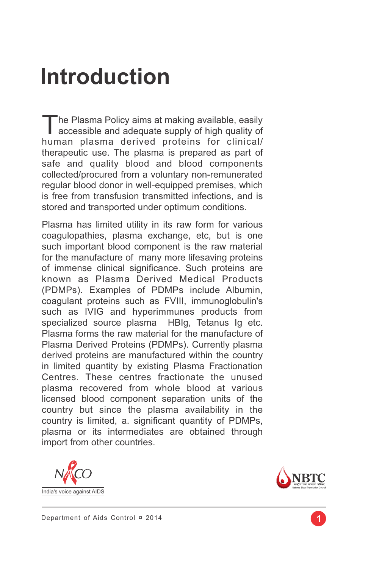### **Introduction**

The Plasma Policy aims at making available, easily accessible and adequate supply of high quality of human plasma derived proteins for clinical/ therapeutic use. The plasma is prepared as part of safe and quality blood and blood components collected/procured from a voluntary non-remunerated regular blood donor in well-equipped premises, which is free from transfusion transmitted infections, and is stored and transported under optimum conditions.

Plasma has limited utility in its raw form for various coagulopathies, plasma exchange, etc, but is one such important blood component is the raw material for the manufacture of many more lifesaving proteins of immense clinical significance. Such proteins are known as Plasma Derived Medical Products (PDMPs). Examples of PDMPs include Albumin, coagulant proteins such as FVIII, immunoglobulin's such as IVIG and hyperimmunes products from specialized source plasma HBIg, Tetanus Ig etc. Plasma forms the raw material for the manufacture of Plasma Derived Proteins (PDMPs). Currently plasma derived proteins are manufactured within the country in limited quantity by existing Plasma Fractionation Centres. These centres fractionate the unused plasma recovered from whole blood at various licensed blood component separation units of the country but since the plasma availability in the country is limited, a. significant quantity of PDMPs, plasma or its intermediates are obtained through import from other countries.



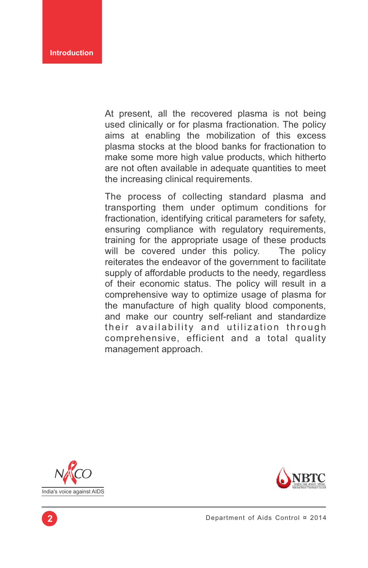At present, all the recovered plasma is not being used clinically or for plasma fractionation. The policy aims at enabling the mobilization of this excess plasma stocks at the blood banks for fractionation to make some more high value products, which hitherto are not often available in adequate quantities to meet the increasing clinical requirements.

The process of collecting standard plasma and transporting them under optimum conditions for fractionation, identifying critical parameters for safety, ensuring compliance with regulatory requirements, training for the appropriate usage of these products will be covered under this policy. The policy reiterates the endeavor of the government to facilitate supply of affordable products to the needy, regardless of their economic status. The policy will result in a comprehensive way to optimize usage of plasma for the manufacture of high quality blood components, and make our country self-reliant and standardize their availability and utilization through comprehensive, efficient and a total quality management approach.



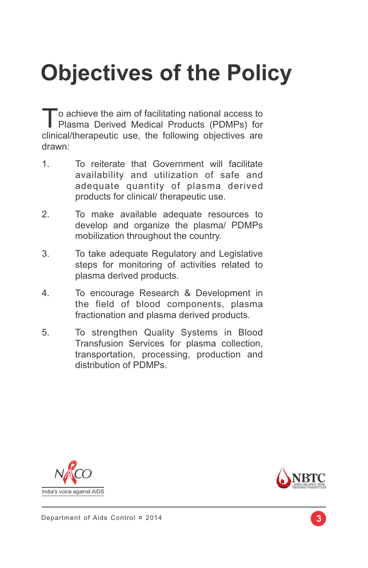# **Objectives of the Policy**

To achieve the aim of facilitating national access to Plasma Derived Medical Products (PDMPs) for clinical/therapeutic use, the following objectives are drawn:

- 1. To reiterate that Government will facilitate availability and utilization of safe and adequate quantity of plasma derived products for clinical/ therapeutic use.
- 2. To make available adequate resources to develop and organize the plasma/ PDMPs mobilization throughout the country.
- 3. To take adequate Regulatory and Legislative steps for monitoring of activities related to plasma derived products.
- 4. To encourage Research & Development in the field of blood components, plasma fractionation and plasma derived products.
- 5. To strengthen Quality Systems in Blood Transfusion Services for plasma collection, transportation, processing, production and distribution of PDMPs.



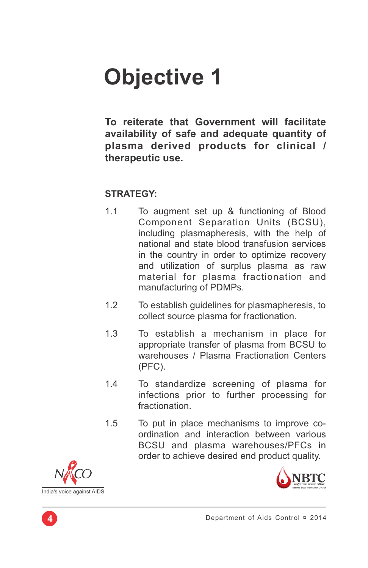**To reiterate that Government will facilitate availability of safe and adequate quantity of plasma derived products for clinical / therapeutic use.**

- 1.1 To augment set up & functioning of Blood Component Separation Units (BCSU), including plasmapheresis, with the help of national and state blood transfusion services in the country in order to optimize recovery and utilization of surplus plasma as raw material for plasma fractionation and manufacturing of PDMPs.
- 1.2 To establish guidelines for plasmapheresis, to collect source plasma for fractionation.
- 1.3 To establish a mechanism in place for appropriate transfer of plasma from BCSU to warehouses / Plasma Fractionation Centers (PFC).
- 1.4 To standardize screening of plasma for infections prior to further processing for fractionation.
- 1.5 To put in place mechanisms to improve coordination and interaction between various BCSU and plasma warehouses/PFCs in order to achieve desired end product quality.



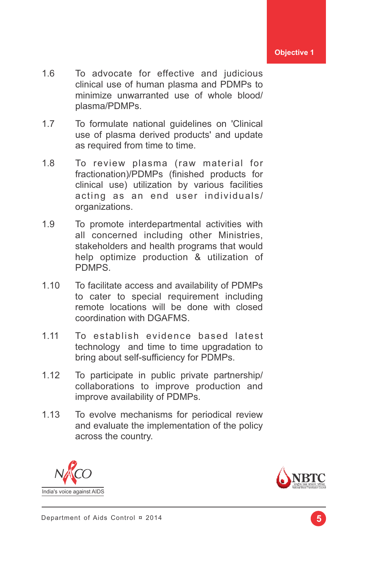- 1.6 To advocate for effective and judicious clinical use of human plasma and PDMPs to minimize unwarranted use of whole blood/ plasma/PDMPs.
- 1.7 To formulate national guidelines on 'Clinical use of plasma derived products' and update as required from time to time.
- 1.8 To review plasma (raw material for fractionation)/PDMPs (finished products for clinical use) utilization by various facilities acting as an end user individuals/ organizations.
- 1.9 To promote interdepartmental activities with all concerned including other Ministries, stakeholders and health programs that would help optimize production & utilization of PDMPS.
- 1.10 To facilitate access and availability of PDMPs to cater to special requirement including remote locations will be done with closed coordination with DGAFMS.
- 1.11 To establish evidence based latest technology and time to time upgradation to bring about self-sufficiency for PDMPs.
- 1.12 To participate in public private partnership/ collaborations to improve production and improve availability of PDMPs.
- 1.13 To evolve mechanisms for periodical review and evaluate the implementation of the policy across the country.



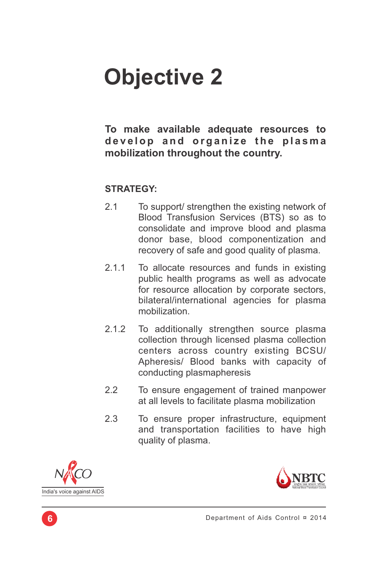### **To make available adequate resources to**  develop and organize the plasma **mobilization throughout the country.**

- 2.1 To support/ strengthen the existing network of Blood Transfusion Services (BTS) so as to consolidate and improve blood and plasma donor base, blood componentization and recovery of safe and good quality of plasma.
- 2.1.1 To allocate resources and funds in existing public health programs as well as advocate for resource allocation by corporate sectors, bilateral/international agencies for plasma mobilization.
- 2.1.2 To additionally strengthen source plasma collection through licensed plasma collection centers across country existing BCSU/ Apheresis/ Blood banks with capacity of conducting plasmapheresis
- 2.2 To ensure engagement of trained manpower at all levels to facilitate plasma mobilization
- 2.3 To ensure proper infrastructure, equipment and transportation facilities to have high quality of plasma.



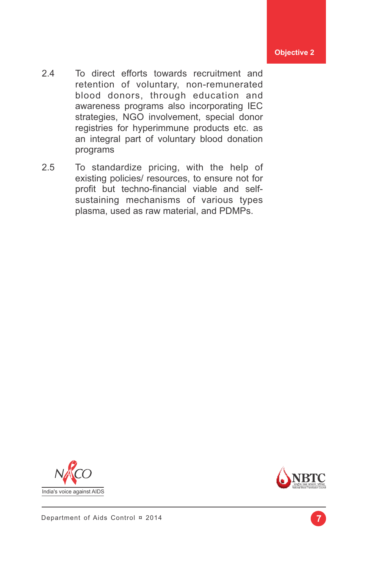- 2.4 To direct efforts towards recruitment and retention of voluntary, non-remunerated blood donors, through education and awareness programs also incorporating IEC strategies, NGO involvement, special donor registries for hyperimmune products etc. as an integral part of voluntary blood donation programs
- 2.5 To standardize pricing, with the help of existing policies/ resources, to ensure not for profit but techno-financial viable and selfsustaining mechanisms of various types plasma, used as raw material, and PDMPs.



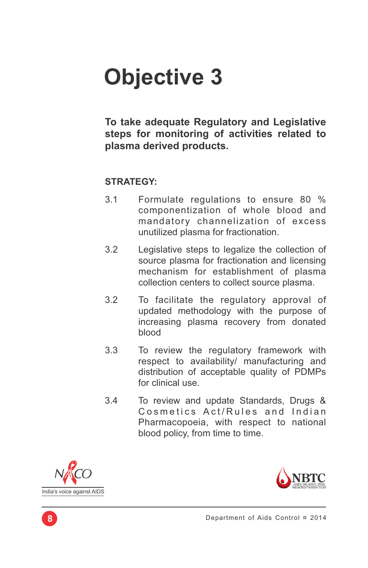**To take adequate Regulatory and Legislative steps for monitoring of activities related to plasma derived products.**

- 3.1 Formulate regulations to ensure 80 % componentization of whole blood and mandatory channelization of excess unutilized plasma for fractionation.
- 3.2 Legislative steps to legalize the collection of source plasma for fractionation and licensing mechanism for establishment of plasma collection centers to collect source plasma.
- 3.2 To facilitate the regulatory approval of updated methodology with the purpose of increasing plasma recovery from donated blood
- 3.3 To review the regulatory framework with respect to availability/ manufacturing and distribution of acceptable quality of PDMPs for clinical use.
- 3.4 To review and update Standards, Drugs & Cosmetics Act/Rules and Indian Pharmacopoeia, with respect to national blood policy, from time to time.



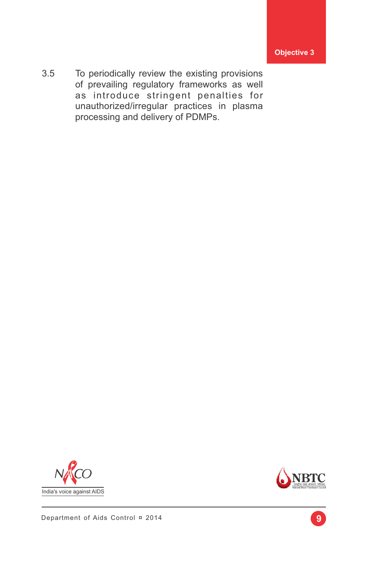3.5 To periodically review the existing provisions of prevailing regulatory frameworks as well as introduce stringent penalties for unauthorized/irregular practices in plasma processing and delivery of PDMPs.



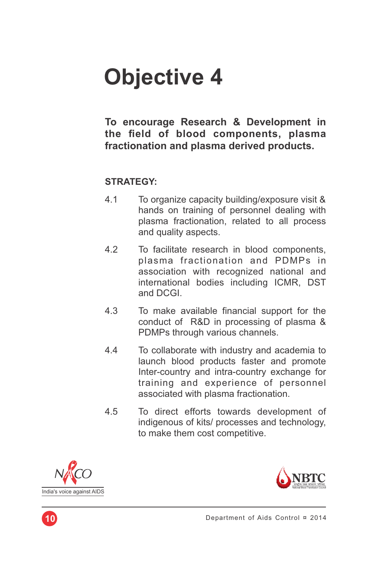To encourage Research & Development in **the eld of blood components, plasma fractionation and plasma derived products.**

- 4.1 To organize capacity building/exposure visit & hands on training of personnel dealing with plasma fractionation, related to all process and quality aspects.
- 4.2 To facilitate research in blood components, plasma fractionation and PDMPs in association with recognized national and international bodies including ICMR, DST and DCGI.
- 4.3 To make available financial support for the conduct of R&D in processing of plasma & PDMPs through various channels.
- 4.4 To collaborate with industry and academia to launch blood products faster and promote Inter-country and intra-country exchange for training and experience of personnel associated with plasma fractionation.
- 4.5 To direct efforts towards development of indigenous of kits/ processes and technology, to make them cost competitive.



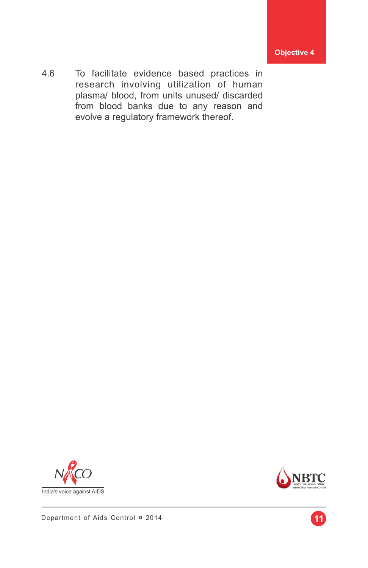4.6 To facilitate evidence based practices in research involving utilization of human plasma/ blood, from units unused/ discarded from blood banks due to any reason and evolve a regulatory framework thereof.





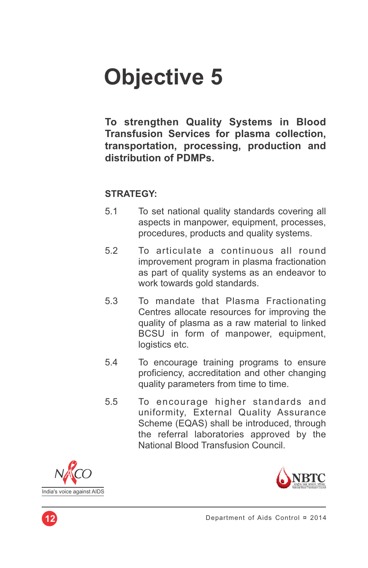**To strengthen Quality Systems in Blood Transfusion Services for plasma collection, transportation, processing, production and distribution of PDMPs.**

- 5.1 To set national quality standards covering all aspects in manpower, equipment, processes, procedures, products and quality systems.
- 5.2 To articulate a continuous all round improvement program in plasma fractionation as part of quality systems as an endeavor to work towards gold standards.
- 5.3 To mandate that Plasma Fractionating Centres allocate resources for improving the quality of plasma as a raw material to linked BCSU in form of manpower, equipment, logistics etc.
- 5.4 To encourage training programs to ensure proficiency, accreditation and other changing quality parameters from time to time.
- 5.5 To encourage higher standards and uniformity, External Quality Assurance Scheme (EQAS) shall be introduced, through the referral laboratories approved by the National Blood Transfusion Council.





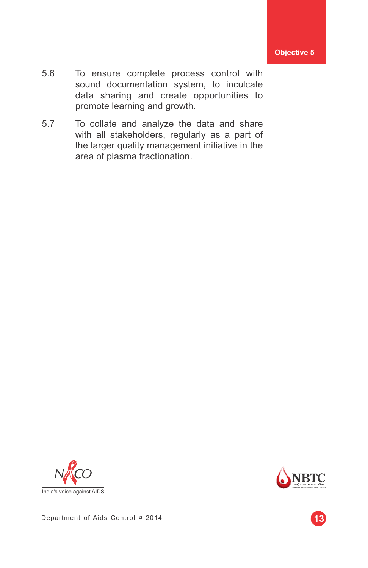- 5.6 To ensure complete process control with sound documentation system, to inculcate data sharing and create opportunities to promote learning and growth.
- 5.7 To collate and analyze the data and share with all stakeholders, regularly as a part of the larger quality management initiative in the area of plasma fractionation.